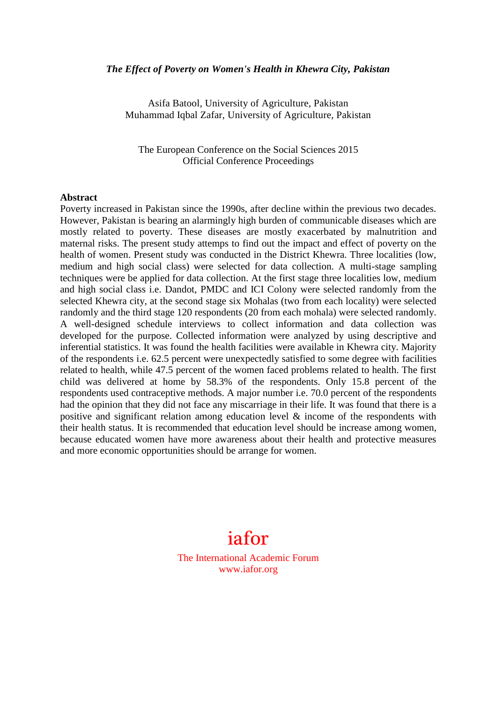#### *The Effect of Poverty on Women's Health in Khewra City, Pakistan*

Asifa Batool, University of Agriculture, Pakistan Muhammad Iqbal Zafar, University of Agriculture, Pakistan

The European Conference on the Social Sciences 2015 Official Conference Proceedings

#### **Abstract**

Poverty increased in Pakistan since the 1990s, after decline within the previous two decades. However, Pakistan is bearing an alarmingly high burden of communicable diseases which are mostly related to poverty. These diseases are mostly exacerbated by malnutrition and maternal risks. The present study attemps to find out the impact and effect of poverty on the health of women. Present study was conducted in the District Khewra. Three localities (low, medium and high social class) were selected for data collection. A multi-stage sampling techniques were be applied for data collection. At the first stage three localities low, medium and high social class i.e. Dandot, PMDC and ICI Colony were selected randomly from the selected Khewra city, at the second stage six Mohalas (two from each locality) were selected randomly and the third stage 120 respondents (20 from each mohala) were selected randomly. A well-designed schedule interviews to collect information and data collection was developed for the purpose. Collected information were analyzed by using descriptive and inferential statistics. It was found the health facilities were available in Khewra city. Majority of the respondents i.e. 62.5 percent were unexpectedly satisfied to some degree with facilities related to health, while 47.5 percent of the women faced problems related to health. The first child was delivered at home by 58.3% of the respondents. Only 15.8 percent of the respondents used contraceptive methods. A major number i.e. 70.0 percent of the respondents had the opinion that they did not face any miscarriage in their life. It was found that there is a positive and significant relation among education level & income of the respondents with their health status. It is recommended that education level should be increase among women, because educated women have more awareness about their health and protective measures and more economic opportunities should be arrange for women.

# iafor

The International Academic Forum www.iafor.org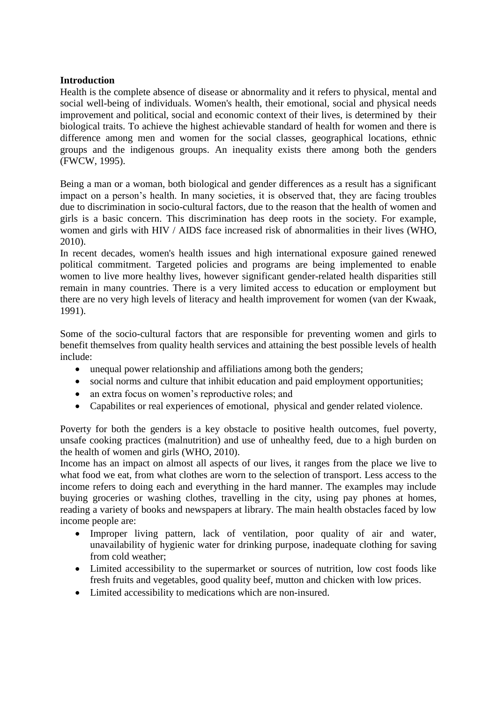# **Introduction**

Health is the complete absence of disease or abnormality and it refers to physical, mental and social well-being of individuals. Women's health, their emotional, social and physical needs improvement and political, social and economic context of their lives, is determined by their biological traits. To achieve the highest achievable standard of health for women and there is difference among men and women for the social classes, geographical locations, ethnic groups and the indigenous groups. An inequality exists there among both the genders (FWCW, 1995).

Being a man or a woman, both biological and gender differences as a result has a significant impact on a person's health. In many societies, it is observed that, they are facing troubles due to discrimination in socio-cultural factors, due to the reason that the health of women and girls is a basic concern. This discrimination has deep roots in the society. For example, women and girls with HIV / AIDS face increased risk of abnormalities in their lives (WHO, 2010).

In recent decades, women's health issues and high international exposure gained renewed political commitment. Targeted policies and programs are being implemented to enable women to live more healthy lives, however significant gender-related health disparities still remain in many countries. There is a very limited access to education or employment but there are no very high levels of literacy and health improvement for women (van der Kwaak, 1991).

Some of the socio-cultural factors that are responsible for preventing women and girls to benefit themselves from quality health services and attaining the best possible levels of health include:

- unequal power relationship and affiliations among both the genders;
- social norms and culture that inhibit education and paid employment opportunities;
- an extra focus on women's reproductive roles; and
- Capabilites or real experiences of emotional, physical and gender related violence.

Poverty for both the genders is a key obstacle to positive health outcomes, fuel poverty, unsafe cooking practices (malnutrition) and use of unhealthy feed, due to a high burden on the health of women and girls (WHO, 2010).

Income has an impact on almost all aspects of our lives, it ranges from the place we live to what food we eat, from what clothes are worn to the selection of transport. Less access to the income refers to doing each and everything in the hard manner. The examples may include buying groceries or washing clothes, travelling in the city, using pay phones at homes, reading a variety of books and newspapers at library. The main health obstacles faced by low income people are:

- Improper living pattern, lack of ventilation, poor quality of air and water, unavailability of hygienic water for drinking purpose, inadequate clothing for saving from cold weather;
- Limited accessibility to the supermarket or sources of nutrition, low cost foods like fresh fruits and vegetables, good quality beef, mutton and chicken with low prices.
- Limited accessibility to medications which are non-insured.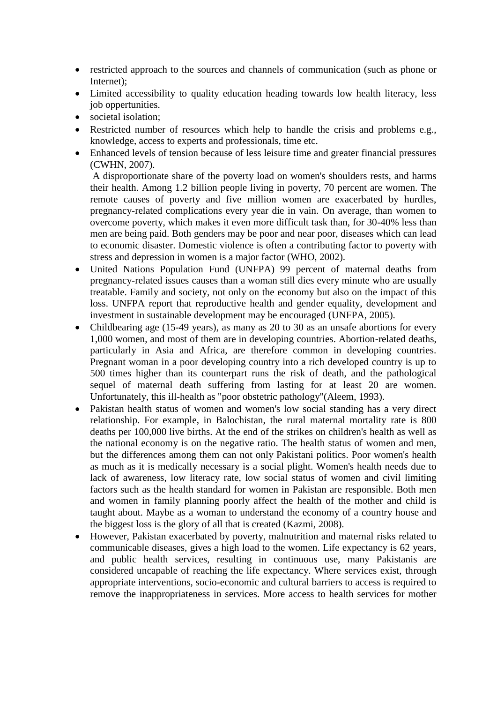- restricted approach to the sources and channels of communication (such as phone or Internet);
- Limited accessibility to quality education heading towards low health literacy, less job oppertunities.
- societal isolation:
- Restricted number of resources which help to handle the crisis and problems e.g., knowledge, access to experts and professionals, time etc.
- Enhanced levels of tension because of less leisure time and greater financial pressures (CWHN, 2007).

A disproportionate share of the poverty load on women's shoulders rests, and harms their health. Among 1.2 billion people living in poverty, 70 percent are women. The remote causes of poverty and five million women are exacerbated by hurdles, pregnancy-related complications every year die in vain. On average, than women to overcome poverty, which makes it even more difficult task than, for 30-40% less than men are being paid. Both genders may be poor and near poor, diseases which can lead to economic disaster. Domestic violence is often a contributing factor to poverty with stress and depression in women is a major factor (WHO, 2002).

- United Nations Population Fund (UNFPA) 99 percent of maternal deaths from pregnancy-related issues causes than a woman still dies every minute who are usually treatable. Family and society, not only on the economy but also on the impact of this loss. UNFPA report that reproductive health and gender equality, development and investment in sustainable development may be encouraged (UNFPA, 2005).
- Childbearing age (15-49 years), as many as 20 to 30 as an unsafe abortions for every 1,000 women, and most of them are in developing countries. Abortion-related deaths, particularly in Asia and Africa, are therefore common in developing countries. Pregnant woman in a poor developing country into a rich developed country is up to 500 times higher than its counterpart runs the risk of death, and the pathological sequel of maternal death suffering from lasting for at least 20 are women. Unfortunately, this ill-health as "poor obstetric pathology"(Aleem, 1993).
- Pakistan health status of women and women's low social standing has a very direct relationship. For example, in Balochistan, the rural maternal mortality rate is 800 deaths per 100,000 live births. At the end of the strikes on children's health as well as the national economy is on the negative ratio. The health status of women and men, but the differences among them can not only Pakistani politics. Poor women's health as much as it is medically necessary is a social plight. Women's health needs due to lack of awareness, low literacy rate, low social status of women and civil limiting factors such as the health standard for women in Pakistan are responsible. Both men and women in family planning poorly affect the health of the mother and child is taught about. Maybe as a woman to understand the economy of a country house and the biggest loss is the glory of all that is created (Kazmi, 2008).
- However, Pakistan exacerbated by poverty, malnutrition and maternal risks related to communicable diseases, gives a high load to the women. Life expectancy is 62 years, and public health services, resulting in continuous use, many Pakistanis are considered uncapable of reaching the life expectancy. Where services exist, through appropriate interventions, socio-economic and cultural barriers to access is required to remove the inappropriateness in services. More access to health services for mother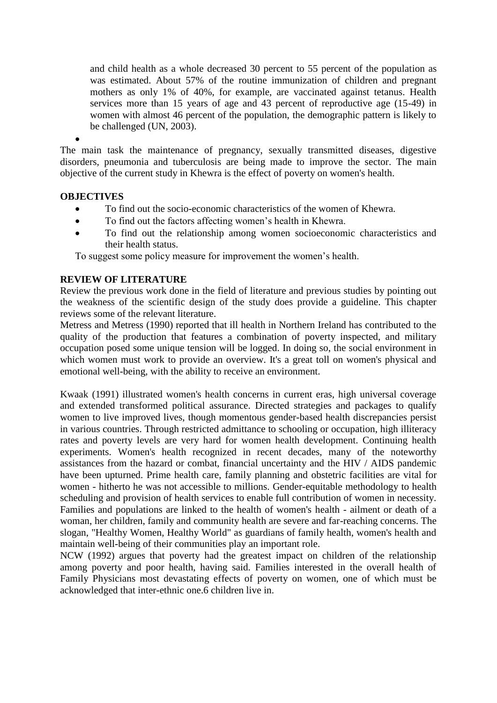and child health as a whole decreased 30 percent to 55 percent of the population as was estimated. About 57% of the routine immunization of children and pregnant mothers as only 1% of 40%, for example, are vaccinated against tetanus. Health services more than 15 years of age and 43 percent of reproductive age (15-49) in women with almost 46 percent of the population, the demographic pattern is likely to be challenged (UN, 2003).

 $\bullet$ The main task the maintenance of pregnancy, sexually transmitted diseases, digestive disorders, pneumonia and tuberculosis are being made to improve the sector. The main objective of the current study in Khewra is the effect of poverty on women's health.

## **OBJECTIVES**

- To find out the socio-economic characteristics of the women of Khewra.
- To find out the factors affecting women's health in Khewra.
- To find out the relationship among women socioeconomic characteristics and their health status.

To suggest some policy measure for improvement the women's health.

# **REVIEW OF LITERATURE**

Review the previous work done in the field of literature and previous studies by pointing out the weakness of the scientific design of the study does provide a guideline. This chapter reviews some of the relevant literature.

Metress and Metress (1990) reported that ill health in Northern Ireland has contributed to the quality of the production that features a combination of poverty inspected, and military occupation posed some unique tension will be logged. In doing so, the social environment in which women must work to provide an overview. It's a great toll on women's physical and emotional well-being, with the ability to receive an environment.

Kwaak (1991) illustrated women's health concerns in current eras, high universal coverage and extended transformed political assurance. Directed strategies and packages to qualify women to live improved lives, though momentous gender-based health discrepancies persist in various countries. Through restricted admittance to schooling or occupation, high illiteracy rates and poverty levels are very hard for women health development. Continuing health experiments. Women's health recognized in recent decades, many of the noteworthy assistances from the hazard or combat, financial uncertainty and the HIV / AIDS pandemic have been upturned. Prime health care, family planning and obstetric facilities are vital for women - hitherto he was not accessible to millions. Gender-equitable methodology to health scheduling and provision of health services to enable full contribution of women in necessity. Families and populations are linked to the health of women's health - ailment or death of a woman, her children, family and community health are severe and far-reaching concerns. The slogan, "Healthy Women, Healthy World" as guardians of family health, women's health and maintain well-being of their communities play an important role.

NCW (1992) argues that poverty had the greatest impact on children of the relationship among poverty and poor health, having said. Families interested in the overall health of Family Physicians most devastating effects of poverty on women, one of which must be acknowledged that inter-ethnic one.6 children live in.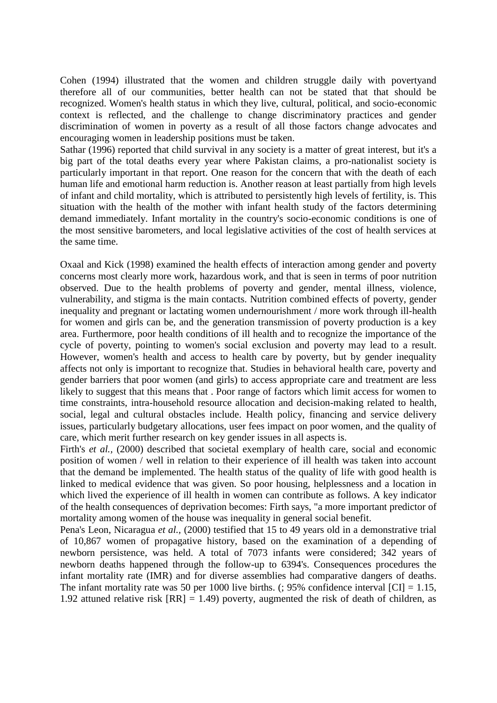Cohen (1994) illustrated that the women and children struggle daily with povertyand therefore all of our communities, better health can not be stated that that should be recognized. Women's health status in which they live, cultural, political, and socio-economic context is reflected, and the challenge to change discriminatory practices and gender discrimination of women in poverty as a result of all those factors change advocates and encouraging women in leadership positions must be taken.

Sathar (1996) reported that child survival in any society is a matter of great interest, but it's a big part of the total deaths every year where Pakistan claims, a pro-nationalist society is particularly important in that report. One reason for the concern that with the death of each human life and emotional harm reduction is. Another reason at least partially from high levels of infant and child mortality, which is attributed to persistently high levels of fertility, is. This situation with the health of the mother with infant health study of the factors determining demand immediately. Infant mortality in the country's socio-economic conditions is one of the most sensitive barometers, and local legislative activities of the cost of health services at the same time.

Oxaal and Kick (1998) examined the health effects of interaction among gender and poverty concerns most clearly more work, hazardous work, and that is seen in terms of poor nutrition observed. Due to the health problems of poverty and gender, mental illness, violence, vulnerability, and stigma is the main contacts. Nutrition combined effects of poverty, gender inequality and pregnant or lactating women undernourishment / more work through ill-health for women and girls can be, and the generation transmission of poverty production is a key area. Furthermore, poor health conditions of ill health and to recognize the importance of the cycle of poverty, pointing to women's social exclusion and poverty may lead to a result. However, women's health and access to health care by poverty, but by gender inequality affects not only is important to recognize that. Studies in behavioral health care, poverty and gender barriers that poor women (and girls) to access appropriate care and treatment are less likely to suggest that this means that . Poor range of factors which limit access for women to time constraints, intra-household resource allocation and decision-making related to health, social, legal and cultural obstacles include. Health policy, financing and service delivery issues, particularly budgetary allocations, user fees impact on poor women, and the quality of care, which merit further research on key gender issues in all aspects is.

Firth's *et al.*, (2000) described that societal exemplary of health care, social and economic position of women / well in relation to their experience of ill health was taken into account that the demand be implemented. The health status of the quality of life with good health is linked to medical evidence that was given. So poor housing, helplessness and a location in which lived the experience of ill health in women can contribute as follows. A key indicator of the health consequences of deprivation becomes: Firth says, "a more important predictor of mortality among women of the house was inequality in general social benefit.

Pena's Leon, Nicaragua *et al.,* (2000) testified that 15 to 49 years old in a demonstrative trial of 10,867 women of propagative history, based on the examination of a depending of newborn persistence, was held. A total of 7073 infants were considered; 342 years of newborn deaths happened through the follow-up to 6394's. Consequences procedures the infant mortality rate (IMR) and for diverse assemblies had comparative dangers of deaths. The infant mortality rate was 50 per 1000 live births. (; 95% confidence interval  $\text{[CI]} = 1.15$ , 1.92 attuned relative risk  $[RR] = 1.49$ ) poverty, augmented the risk of death of children, as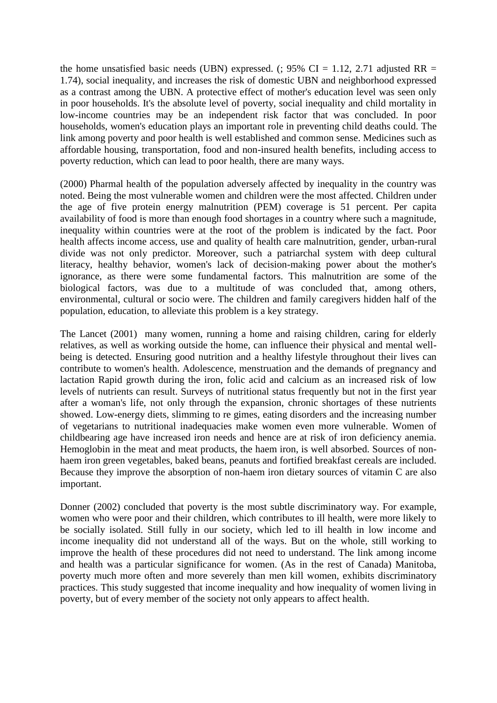the home unsatisfied basic needs (UBN) expressed. (; 95% CI = 1.12, 2.71 adjusted RR = 1.74), social inequality, and increases the risk of domestic UBN and neighborhood expressed as a contrast among the UBN. A protective effect of mother's education level was seen only in poor households. It's the absolute level of poverty, social inequality and child mortality in low-income countries may be an independent risk factor that was concluded. In poor households, women's education plays an important role in preventing child deaths could. The link among poverty and poor health is well established and common sense. Medicines such as affordable housing, transportation, food and non-insured health benefits, including access to poverty reduction, which can lead to poor health, there are many ways.

(2000) Pharmal health of the population adversely affected by inequality in the country was noted. Being the most vulnerable women and children were the most affected. Children under the age of five protein energy malnutrition (PEM) coverage is 51 percent. Per capita availability of food is more than enough food shortages in a country where such a magnitude, inequality within countries were at the root of the problem is indicated by the fact. Poor health affects income access, use and quality of health care malnutrition, gender, urban-rural divide was not only predictor. Moreover, such a patriarchal system with deep cultural literacy, healthy behavior, women's lack of decision-making power about the mother's ignorance, as there were some fundamental factors. This malnutrition are some of the biological factors, was due to a multitude of was concluded that, among others, environmental, cultural or socio were. The children and family caregivers hidden half of the population, education, to alleviate this problem is a key strategy.

The Lancet (2001) many women, running a home and raising children, caring for elderly relatives, as well as working outside the home, can influence their physical and mental wellbeing is detected. Ensuring good nutrition and a healthy lifestyle throughout their lives can contribute to women's health. Adolescence, menstruation and the demands of pregnancy and lactation Rapid growth during the iron, folic acid and calcium as an increased risk of low levels of nutrients can result. Surveys of nutritional status frequently but not in the first year after a woman's life, not only through the expansion, chronic shortages of these nutrients showed. Low-energy diets, slimming to re gimes, eating disorders and the increasing number of vegetarians to nutritional inadequacies make women even more vulnerable. Women of childbearing age have increased iron needs and hence are at risk of iron deficiency anemia. Hemoglobin in the meat and meat products, the haem iron, is well absorbed. Sources of nonhaem iron green vegetables, baked beans, peanuts and fortified breakfast cereals are included. Because they improve the absorption of non-haem iron dietary sources of vitamin C are also important.

Donner (2002) concluded that poverty is the most subtle discriminatory way. For example, women who were poor and their children, which contributes to ill health, were more likely to be socially isolated. Still fully in our society, which led to ill health in low income and income inequality did not understand all of the ways. But on the whole, still working to improve the health of these procedures did not need to understand. The link among income and health was a particular significance for women. (As in the rest of Canada) Manitoba, poverty much more often and more severely than men kill women, exhibits discriminatory practices. This study suggested that income inequality and how inequality of women living in poverty, but of every member of the society not only appears to affect health.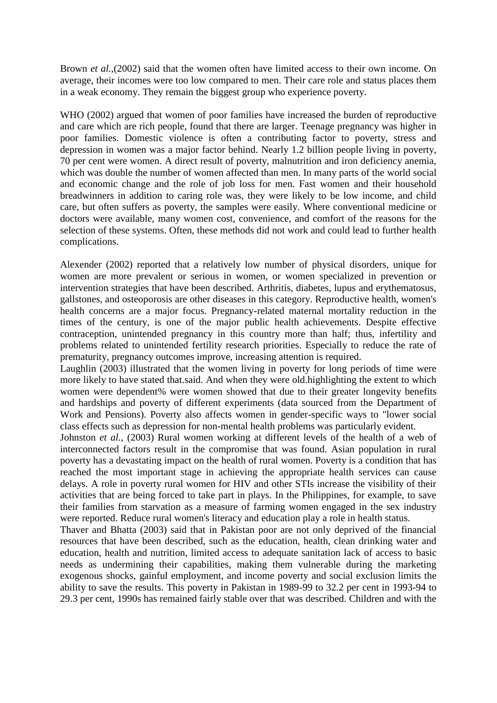Brown *et al.,*(2002) said that the women often have limited access to their own income. On average, their incomes were too low compared to men. Their care role and status places them in a weak economy. They remain the biggest group who experience poverty.

WHO (2002) argued that women of poor families have increased the burden of reproductive and care which are rich people, found that there are larger. Teenage pregnancy was higher in poor families. Domestic violence is often a contributing factor to poverty, stress and depression in women was a major factor behind. Nearly 1.2 billion people living in poverty, 70 per cent were women. A direct result of poverty, malnutrition and iron deficiency anemia, which was double the number of women affected than men. In many parts of the world social and economic change and the role of job loss for men. Fast women and their household breadwinners in addition to caring role was, they were likely to be low income, and child care, but often suffers as poverty, the samples were easily. Where conventional medicine or doctors were available, many women cost, convenience, and comfort of the reasons for the selection of these systems. Often, these methods did not work and could lead to further health complications.

Alexender (2002) reported that a relatively low number of physical disorders, unique for women are more prevalent or serious in women, or women specialized in prevention or intervention strategies that have been described. Arthritis, diabetes, lupus and erythematosus, gallstones, and osteoporosis are other diseases in this category. Reproductive health, women's health concerns are a major focus. Pregnancy-related maternal mortality reduction in the times of the century, is one of the major public health achievements. Despite effective contraception, unintended pregnancy in this country more than half; thus, infertility and problems related to unintended fertility research priorities. Especially to reduce the rate of prematurity, pregnancy outcomes improve, increasing attention is required.

Laughlin (2003) illustrated that the women living in poverty for long periods of time were more likely to have stated that.said. And when they were old.highlighting the extent to which women were dependent% were women showed that due to their greater longevity benefits and hardships and poverty of different experiments (data sourced from the Department of Work and Pensions). Poverty also affects women in gender-specific ways to "lower social class effects such as depression for non-mental health problems was particularly evident.

Johnston *et al.,* (2003) Rural women working at different levels of the health of a web of interconnected factors result in the compromise that was found. Asian population in rural poverty has a devastating impact on the health of rural women. Poverty is a condition that has reached the most important stage in achieving the appropriate health services can cause delays. A role in poverty rural women for HIV and other STIs increase the visibility of their activities that are being forced to take part in plays. In the Philippines, for example, to save their families from starvation as a measure of farming women engaged in the sex industry were reported. Reduce rural women's literacy and education play a role in health status.

Thaver and Bhatta (2003) said that in Pakistan poor are not only deprived of the financial resources that have been described, such as the education, health, clean drinking water and education, health and nutrition, limited access to adequate sanitation lack of access to basic needs as undermining their capabilities, making them vulnerable during the marketing exogenous shocks, gainful employment, and income poverty and social exclusion limits the ability to save the results. This poverty in Pakistan in 1989-99 to 32.2 per cent in 1993-94 to 29.3 per cent, 1990s has remained fairly stable over that was described. Children and with the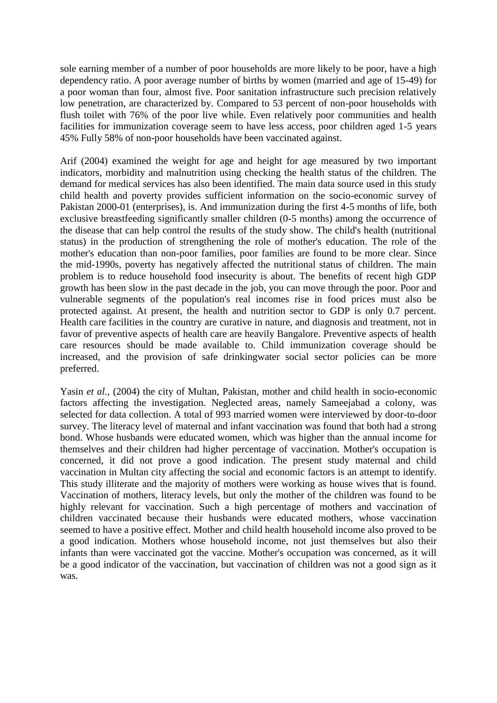sole earning member of a number of poor households are more likely to be poor, have a high dependency ratio. A poor average number of births by women (married and age of 15-49) for a poor woman than four, almost five. Poor sanitation infrastructure such precision relatively low penetration, are characterized by. Compared to 53 percent of non-poor households with flush toilet with 76% of the poor live while. Even relatively poor communities and health facilities for immunization coverage seem to have less access, poor children aged 1-5 years 45% Fully 58% of non-poor households have been vaccinated against.

Arif (2004) examined the weight for age and height for age measured by two important indicators, morbidity and malnutrition using checking the health status of the children. The demand for medical services has also been identified. The main data source used in this study child health and poverty provides sufficient information on the socio-economic survey of Pakistan 2000-01 (enterprises), is. And immunization during the first 4-5 months of life, both exclusive breastfeeding significantly smaller children (0-5 months) among the occurrence of the disease that can help control the results of the study show. The child's health (nutritional status) in the production of strengthening the role of mother's education. The role of the mother's education than non-poor families, poor families are found to be more clear. Since the mid-1990s, poverty has negatively affected the nutritional status of children. The main problem is to reduce household food insecurity is about. The benefits of recent high GDP growth has been slow in the past decade in the job, you can move through the poor. Poor and vulnerable segments of the population's real incomes rise in food prices must also be protected against. At present, the health and nutrition sector to GDP is only 0.7 percent. Health care facilities in the country are curative in nature, and diagnosis and treatment, not in favor of preventive aspects of health care are heavily Bangalore. Preventive aspects of health care resources should be made available to. Child immunization coverage should be increased, and the provision of safe drinkingwater social sector policies can be more preferred.

Yasin *et al.,* (2004) the city of Multan, Pakistan, mother and child health in socio-economic factors affecting the investigation. Neglected areas, namely Sameejabad a colony, was selected for data collection. A total of 993 married women were interviewed by door-to-door survey. The literacy level of maternal and infant vaccination was found that both had a strong bond. Whose husbands were educated women, which was higher than the annual income for themselves and their children had higher percentage of vaccination. Mother's occupation is concerned, it did not prove a good indication. The present study maternal and child vaccination in Multan city affecting the social and economic factors is an attempt to identify. This study illiterate and the majority of mothers were working as house wives that is found. Vaccination of mothers, literacy levels, but only the mother of the children was found to be highly relevant for vaccination. Such a high percentage of mothers and vaccination of children vaccinated because their husbands were educated mothers, whose vaccination seemed to have a positive effect. Mother and child health household income also proved to be a good indication. Mothers whose household income, not just themselves but also their infants than were vaccinated got the vaccine. Mother's occupation was concerned, as it will be a good indicator of the vaccination, but vaccination of children was not a good sign as it was.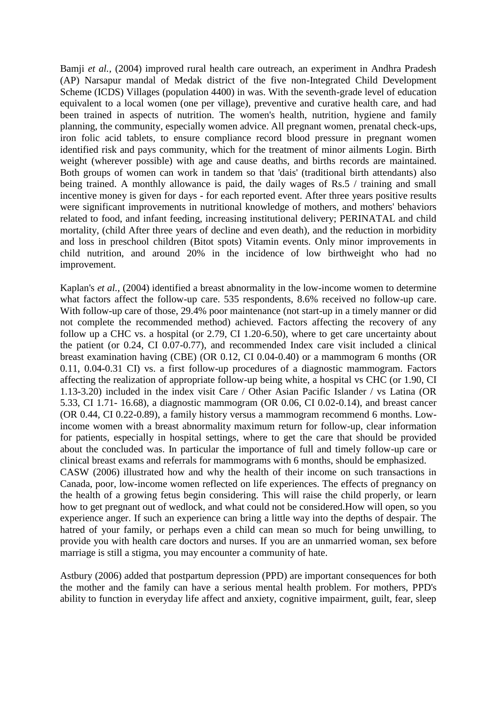Bamji *et al.,* (2004) improved rural health care outreach, an experiment in Andhra Pradesh (AP) Narsapur mandal of Medak district of the five non-Integrated Child Development Scheme (ICDS) Villages (population 4400) in was. With the seventh-grade level of education equivalent to a local women (one per village), preventive and curative health care, and had been trained in aspects of nutrition. The women's health, nutrition, hygiene and family planning, the community, especially women advice. All pregnant women, prenatal check-ups, iron folic acid tablets, to ensure compliance record blood pressure in pregnant women identified risk and pays community, which for the treatment of minor ailments Login. Birth weight (wherever possible) with age and cause deaths, and births records are maintained. Both groups of women can work in tandem so that 'dais' (traditional birth attendants) also being trained. A monthly allowance is paid, the daily wages of Rs.5 / training and small incentive money is given for days - for each reported event. After three years positive results were significant improvements in nutritional knowledge of mothers, and mothers' behaviors related to food, and infant feeding, increasing institutional delivery; PERINATAL and child mortality, (child After three years of decline and even death), and the reduction in morbidity and loss in preschool children (Bitot spots) Vitamin events. Only minor improvements in child nutrition, and around 20% in the incidence of low birthweight who had no improvement.

Kaplan's *et al.,* (2004) identified a breast abnormality in the low-income women to determine what factors affect the follow-up care. 535 respondents, 8.6% received no follow-up care. With follow-up care of those, 29.4% poor maintenance (not start-up in a timely manner or did not complete the recommended method) achieved. Factors affecting the recovery of any follow up a CHC vs. a hospital (or 2.79, CI 1.20-6.50), where to get care uncertainty about the patient (or 0.24, CI 0.07-0.77), and recommended Index care visit included a clinical breast examination having (CBE) (OR 0.12, CI 0.04-0.40) or a mammogram 6 months (OR 0.11, 0.04-0.31 CI) vs. a first follow-up procedures of a diagnostic mammogram. Factors affecting the realization of appropriate follow-up being white, a hospital vs CHC (or 1.90, CI 1.13-3.20) included in the index visit Care / Other Asian Pacific Islander / vs Latina (OR 5.33, CI 1.71- 16.68), a diagnostic mammogram (OR 0.06, CI 0.02-0.14), and breast cancer (OR 0.44, CI 0.22-0.89), a family history versus a mammogram recommend 6 months. Lowincome women with a breast abnormality maximum return for follow-up, clear information for patients, especially in hospital settings, where to get the care that should be provided about the concluded was. In particular the importance of full and timely follow-up care or clinical breast exams and referrals for mammograms with 6 months, should be emphasized. CASW (2006) illustrated how and why the health of their income on such transactions in Canada, poor, low-income women reflected on life experiences. The effects of pregnancy on the health of a growing fetus begin considering. This will raise the child properly, or learn how to get pregnant out of wedlock, and what could not be considered.How will open, so you experience anger. If such an experience can bring a little way into the depths of despair. The hatred of your family, or perhaps even a child can mean so much for being unwilling, to provide you with health care doctors and nurses. If you are an unmarried woman, sex before marriage is still a stigma, you may encounter a community of hate.

Astbury (2006) added that postpartum depression (PPD) are important consequences for both the mother and the family can have a serious mental health problem. For mothers, PPD's ability to function in everyday life affect and anxiety, cognitive impairment, guilt, fear, sleep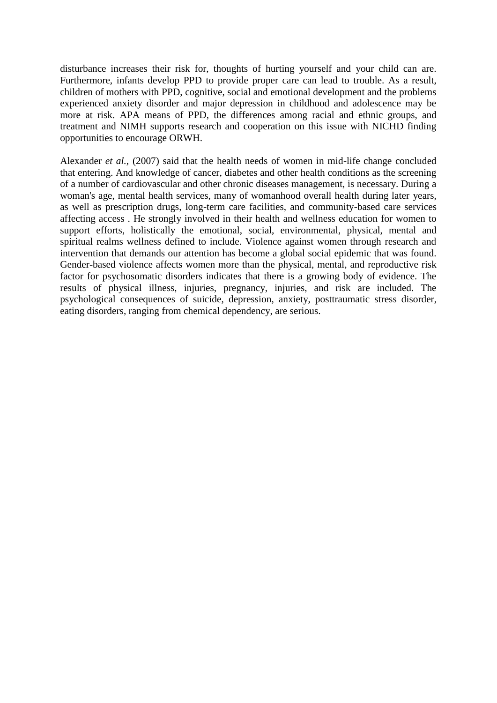disturbance increases their risk for, thoughts of hurting yourself and your child can are. Furthermore, infants develop PPD to provide proper care can lead to trouble. As a result, children of mothers with PPD, cognitive, social and emotional development and the problems experienced anxiety disorder and major depression in childhood and adolescence may be more at risk. APA means of PPD, the differences among racial and ethnic groups, and treatment and NIMH supports research and cooperation on this issue with NICHD finding opportunities to encourage ORWH.

Alexander *et al.,* (2007) said that the health needs of women in mid-life change concluded that entering. And knowledge of cancer, diabetes and other health conditions as the screening of a number of cardiovascular and other chronic diseases management, is necessary. During a woman's age, mental health services, many of womanhood overall health during later years, as well as prescription drugs, long-term care facilities, and community-based care services affecting access . He strongly involved in their health and wellness education for women to support efforts, holistically the emotional, social, environmental, physical, mental and spiritual realms wellness defined to include. Violence against women through research and intervention that demands our attention has become a global social epidemic that was found. Gender-based violence affects women more than the physical, mental, and reproductive risk factor for psychosomatic disorders indicates that there is a growing body of evidence. The results of physical illness, injuries, pregnancy, injuries, and risk are included. The psychological consequences of suicide, depression, anxiety, posttraumatic stress disorder, eating disorders, ranging from chemical dependency, are serious.